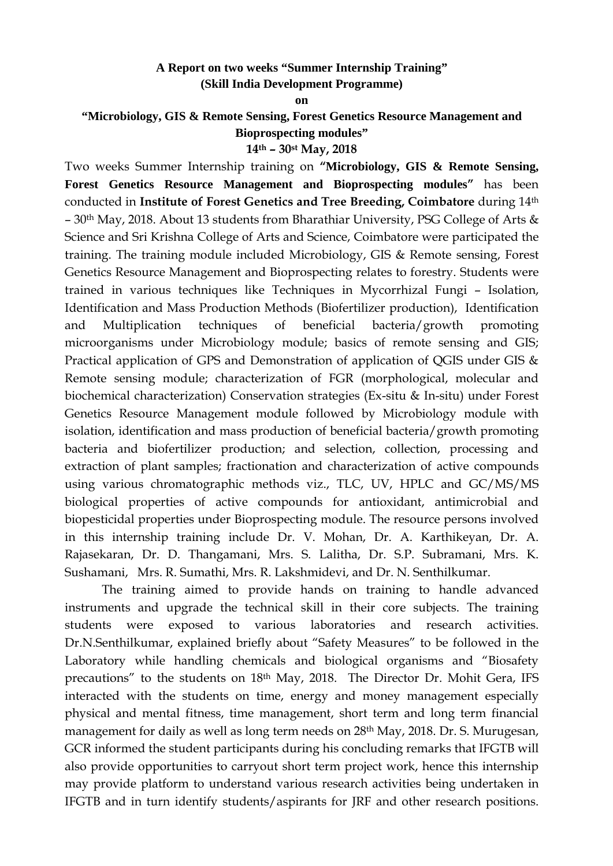## **A Report on two weeks "Summer Internship Training" (Skill India Development Programme)**

**on** 

**"Microbiology, GIS & Remote Sensing, Forest Genetics Resource Management and Bioprospecting modules" 14th – 30st May, 2018**

Two weeks Summer Internship training on **"Microbiology, GIS & Remote Sensing, Forest Genetics Resource Management and Bioprospecting modules"** has been conducted in **Institute of Forest Genetics and Tree Breeding, Coimbatore** during 14th – 30th May, 2018. About 13 students from Bharathiar University, PSG College of Arts & Science and Sri Krishna College of Arts and Science, Coimbatore were participated the training. The training module included Microbiology, GIS & Remote sensing, Forest Genetics Resource Management and Bioprospecting relates to forestry. Students were trained in various techniques like Techniques in Mycorrhizal Fungi – Isolation, Identification and Mass Production Methods (Biofertilizer production), Identification and Multiplication techniques of beneficial bacteria/growth promoting microorganisms under Microbiology module; basics of remote sensing and GIS; Practical application of GPS and Demonstration of application of QGIS under GIS & Remote sensing module; characterization of FGR (morphological, molecular and biochemical characterization) Conservation strategies (Ex-situ & In-situ) under Forest Genetics Resource Management module followed by Microbiology module with isolation, identification and mass production of beneficial bacteria/growth promoting bacteria and biofertilizer production; and selection, collection, processing and extraction of plant samples; fractionation and characterization of active compounds using various chromatographic methods viz., TLC, UV, HPLC and GC/MS/MS biological properties of active compounds for antioxidant, antimicrobial and biopesticidal properties under Bioprospecting module. The resource persons involved in this internship training include Dr. V. Mohan, Dr. A. Karthikeyan, Dr. A. Rajasekaran, Dr. D. Thangamani, Mrs. S. Lalitha, Dr. S.P. Subramani, Mrs. K. Sushamani, Mrs. R. Sumathi, Mrs. R. Lakshmidevi, and Dr. N. Senthilkumar.

The training aimed to provide hands on training to handle advanced instruments and upgrade the technical skill in their core subjects. The training students were exposed to various laboratories and research activities. Dr.N.Senthilkumar, explained briefly about "Safety Measures" to be followed in the Laboratory while handling chemicals and biological organisms and "Biosafety precautions" to the students on 18<sup>th</sup> May, 2018. The Director Dr. Mohit Gera, IFS interacted with the students on time, energy and money management especially physical and mental fitness, time management, short term and long term financial management for daily as well as long term needs on 28th May, 2018. Dr. S. Murugesan, GCR informed the student participants during his concluding remarks that IFGTB will also provide opportunities to carryout short term project work, hence this internship may provide platform to understand various research activities being undertaken in IFGTB and in turn identify students/aspirants for JRF and other research positions.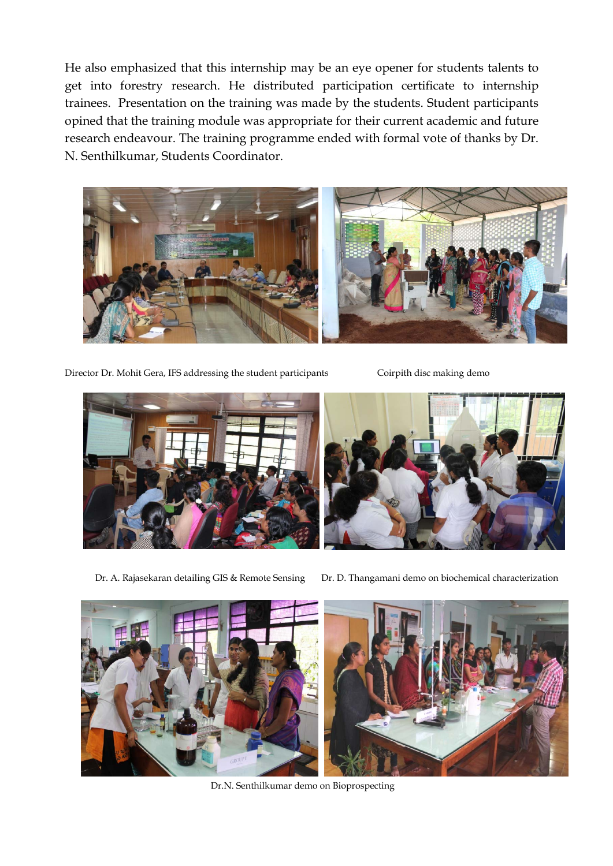He also emphasized that this internship may be an eye opener for students talents to get into forestry research. He distributed participation certificate to internship trainees. Presentation on the training was made by the students. Student participants opined that the training module was appropriate for their current academic and future research endeavour. The training programme ended with formal vote of thanks by Dr. N. Senthilkumar, Students Coordinator.



Director Dr. Mohit Gera, IFS addressing the student participants Coirpith disc making demo



Dr. A. Rajasekaran detailing GIS & Remote Sensing Dr. D. Thangamani demo on biochemical characterization



Dr.N. Senthilkumar demo on Bioprospecting